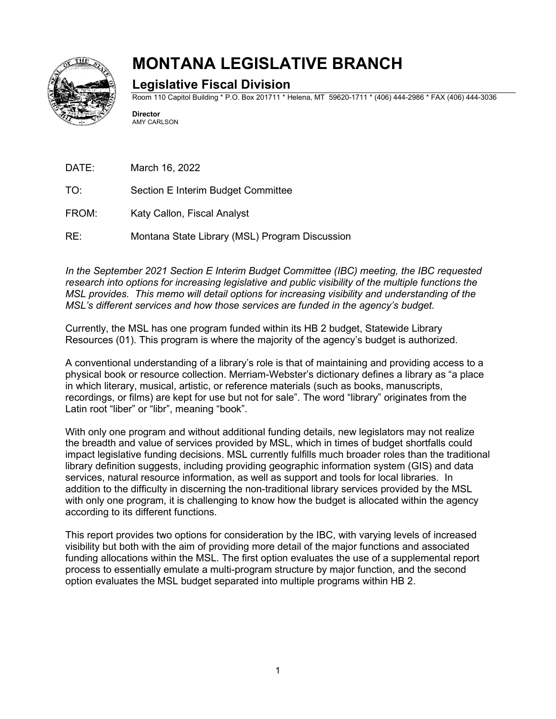

# **MONTANA LEGISLATIVE BRANCH**

# **Legislative Fiscal Division**

Room 110 Capitol Building \* P.O. Box 201711 \* Helena, MT 59620-1711 \* (406) 444-2986 \* FAX (406) 444-3036

**Director** AMY CARLSON

DATE: March 16, 2022

- TO: Section E Interim Budget Committee
- FROM: Katy Callon, Fiscal Analyst

RE: Montana State Library (MSL) Program Discussion

*In the September 2021 Section E Interim Budget Committee (IBC) meeting, the IBC requested research into options for increasing legislative and public visibility of the multiple functions the MSL provides. This memo will detail options for increasing visibility and understanding of the MSL's different services and how those services are funded in the agency's budget.*

Currently, the MSL has one program funded within its HB 2 budget, Statewide Library Resources (01). This program is where the majority of the agency's budget is authorized.

A conventional understanding of a library's role is that of maintaining and providing access to a physical book or resource collection. Merriam-Webster's dictionary defines a library as "a place in which literary, musical, artistic, or reference materials (such as books, manuscripts, recordings, or films) are kept for use but not for sale". The word "library" originates from the Latin root "liber" or "libr", meaning "book".

With only one program and without additional funding details, new legislators may not realize the breadth and value of services provided by MSL, which in times of budget shortfalls could impact legislative funding decisions. MSL currently fulfills much broader roles than the traditional library definition suggests, including providing geographic information system (GIS) and data services, natural resource information, as well as support and tools for local libraries. In addition to the difficulty in discerning the non-traditional library services provided by the MSL with only one program, it is challenging to know how the budget is allocated within the agency according to its different functions.

This report provides two options for consideration by the IBC, with varying levels of increased visibility but both with the aim of providing more detail of the major functions and associated funding allocations within the MSL. The first option evaluates the use of a supplemental report process to essentially emulate a multi-program structure by major function, and the second option evaluates the MSL budget separated into multiple programs within HB 2.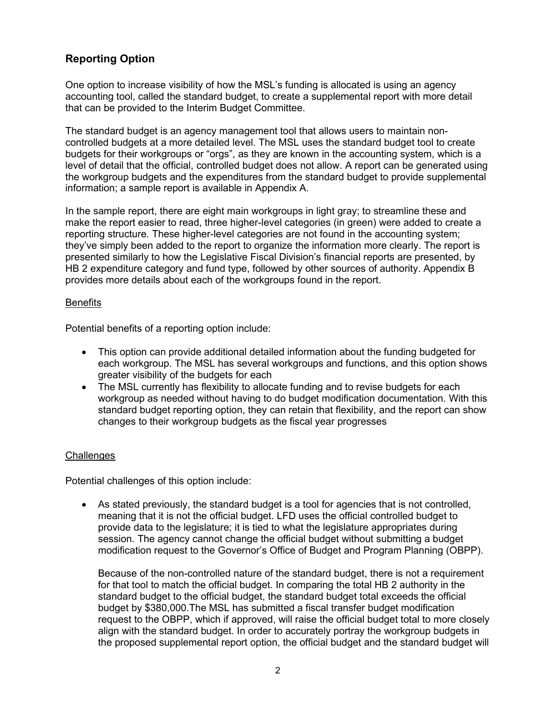## **Reporting Option**

One option to increase visibility of how the MSL's funding is allocated is using an agency accounting tool, called the standard budget, to create a supplemental report with more detail that can be provided to the Interim Budget Committee.

The standard budget is an agency management tool that allows users to maintain noncontrolled budgets at a more detailed level. The MSL uses the standard budget tool to create budgets for their workgroups or "orgs", as they are known in the accounting system, which is a level of detail that the official, controlled budget does not allow. A report can be generated using the workgroup budgets and the expenditures from the standard budget to provide supplemental information; a sample report is available in Appendix A.

In the sample report, there are eight main workgroups in light gray; to streamline these and make the report easier to read, three higher-level categories (in green) were added to create a reporting structure. These higher-level categories are not found in the accounting system; they've simply been added to the report to organize the information more clearly. The report is presented similarly to how the Legislative Fiscal Division's financial reports are presented, by HB 2 expenditure category and fund type, followed by other sources of authority. Appendix B provides more details about each of the workgroups found in the report.

#### **Benefits**

Potential benefits of a reporting option include:

- This option can provide additional detailed information about the funding budgeted for each workgroup. The MSL has several workgroups and functions, and this option shows greater visibility of the budgets for each
- The MSL currently has flexibility to allocate funding and to revise budgets for each workgroup as needed without having to do budget modification documentation. With this standard budget reporting option, they can retain that flexibility, and the report can show changes to their workgroup budgets as the fiscal year progresses

### **Challenges**

Potential challenges of this option include:

• As stated previously, the standard budget is a tool for agencies that is not controlled, meaning that it is not the official budget. LFD uses the official controlled budget to provide data to the legislature; it is tied to what the legislature appropriates during session. The agency cannot change the official budget without submitting a budget modification request to the Governor's Office of Budget and Program Planning (OBPP).

Because of the non-controlled nature of the standard budget, there is not a requirement for that tool to match the official budget. In comparing the total HB 2 authority in the standard budget to the official budget, the standard budget total exceeds the official budget by \$380,000.The MSL has submitted a fiscal transfer budget modification request to the OBPP, which if approved, will raise the official budget total to more closely align with the standard budget. In order to accurately portray the workgroup budgets in the proposed supplemental report option, the official budget and the standard budget will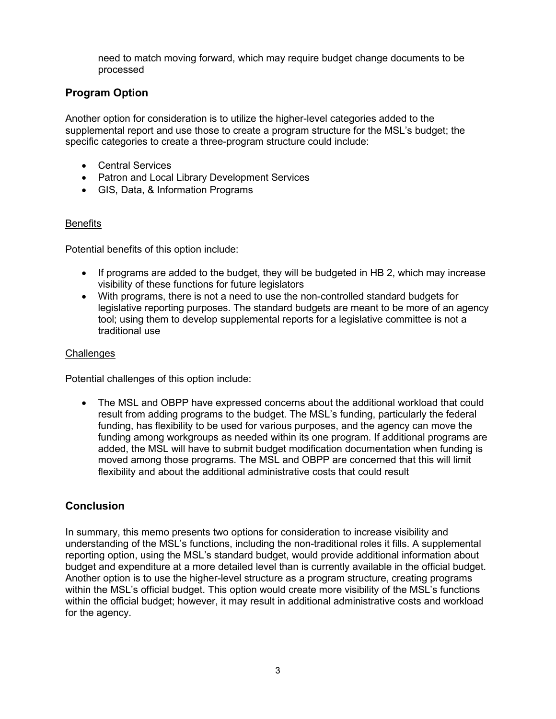need to match moving forward, which may require budget change documents to be processed

### **Program Option**

Another option for consideration is to utilize the higher-level categories added to the supplemental report and use those to create a program structure for the MSL's budget; the specific categories to create a three-program structure could include:

- Central Services
- Patron and Local Library Development Services
- GIS, Data, & Information Programs

### **Benefits**

Potential benefits of this option include:

- If programs are added to the budget, they will be budgeted in HB 2, which may increase visibility of these functions for future legislators
- With programs, there is not a need to use the non-controlled standard budgets for legislative reporting purposes. The standard budgets are meant to be more of an agency tool; using them to develop supplemental reports for a legislative committee is not a traditional use

#### **Challenges**

Potential challenges of this option include:

• The MSL and OBPP have expressed concerns about the additional workload that could result from adding programs to the budget. The MSL's funding, particularly the federal funding, has flexibility to be used for various purposes, and the agency can move the funding among workgroups as needed within its one program. If additional programs are added, the MSL will have to submit budget modification documentation when funding is moved among those programs. The MSL and OBPP are concerned that this will limit flexibility and about the additional administrative costs that could result

### **Conclusion**

In summary, this memo presents two options for consideration to increase visibility and understanding of the MSL's functions, including the non-traditional roles it fills. A supplemental reporting option, using the MSL's standard budget, would provide additional information about budget and expenditure at a more detailed level than is currently available in the official budget. Another option is to use the higher-level structure as a program structure, creating programs within the MSL's official budget. This option would create more visibility of the MSL's functions within the official budget; however, it may result in additional administrative costs and workload for the agency.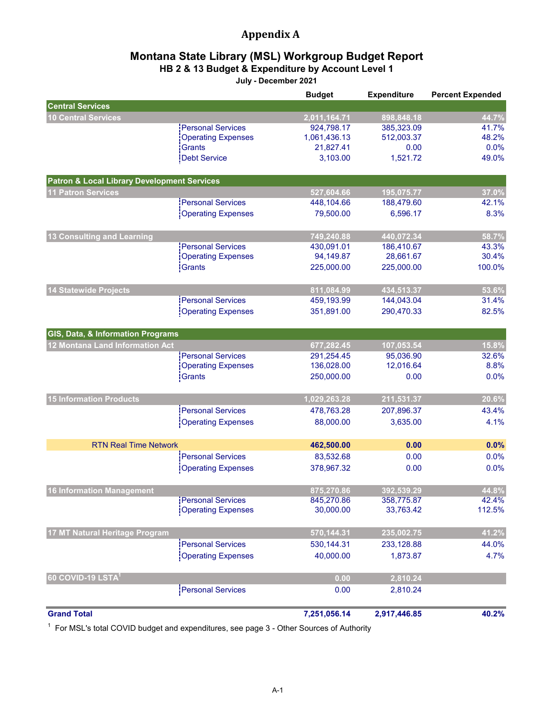# **Appendix A**

### **HB 2 & 13 Budget & Expenditure by Account Level 1 Montana State Library (MSL) Workgroup Budget Report**

**July - December 2021**

|                                                        |                           | <b>Budget</b> | <b>Expenditure</b> | <b>Percent Expended</b> |
|--------------------------------------------------------|---------------------------|---------------|--------------------|-------------------------|
| <b>Central Services</b>                                |                           |               |                    |                         |
| <b>10 Central Services</b>                             |                           | 2,011,164.71  | 898,848.18         | 44.7%                   |
|                                                        | <b>Personal Services</b>  | 924,798.17    | 385,323.09         | 41.7%                   |
|                                                        | <b>Operating Expenses</b> | 1,061,436.13  | 512,003.37         | 48.2%                   |
|                                                        | Grants                    | 21,827.41     | 0.00               | 0.0%                    |
|                                                        | Debt Service              | 3,103.00      | 1,521.72           | 49.0%                   |
| <b>Patron &amp; Local Library Development Services</b> |                           |               |                    |                         |
| <b>11 Patron Services</b>                              |                           | 527,604.66    | 195,075.77         | 37.0%                   |
|                                                        | <b>Personal Services</b>  | 448,104.66    | 188,479.60         | 42.1%                   |
|                                                        | <b>Operating Expenses</b> | 79,500.00     | 6,596.17           | 8.3%                    |
| 13 Consulting and Learning                             |                           | 749,240.88    | 440,072.34         | 58.7%                   |
|                                                        | <b>Personal Services</b>  | 430,091.01    | 186,410.67         | 43.3%                   |
|                                                        | <b>Operating Expenses</b> | 94,149.87     | 28,661.67          | 30.4%                   |
|                                                        | Grants                    | 225,000.00    | 225,000.00         | 100.0%                  |
| <b>14 Statewide Projects</b>                           |                           | 811,084.99    | 434,513.37         | 53.6%                   |
|                                                        | <b>Personal Services</b>  | 459,193.99    | 144,043.04         | 31.4%                   |
|                                                        | <b>Operating Expenses</b> | 351,891.00    | 290,470.33         | 82.5%                   |
|                                                        |                           |               |                    |                         |
| GIS, Data, & Information Programs                      |                           |               |                    |                         |
| 12 Montana Land Information Act                        |                           | 677,282.45    | 107,053.54         | 15.8%                   |
|                                                        | <b>Personal Services</b>  | 291,254.45    | 95,036.90          | 32.6%                   |
|                                                        | <b>Operating Expenses</b> | 136,028.00    | 12,016.64          | 8.8%                    |
|                                                        | Grants                    | 250,000.00    | 0.00               | 0.0%                    |
| <b>15 Information Products</b>                         |                           | 1,029,263.28  | 211,531.37         | 20.6%                   |
|                                                        | <b>Personal Services</b>  | 478,763.28    | 207,896.37         | 43.4%                   |
|                                                        | <b>Operating Expenses</b> | 88,000.00     | 3,635.00           | 4.1%                    |
| <b>RTN Real Time Network</b>                           |                           | 462,500.00    | 0.00               | 0.0%                    |
|                                                        | <b>Personal Services</b>  | 83,532.68     | 0.00               | 0.0%                    |
|                                                        | <b>Operating Expenses</b> | 378,967.32    | 0.00               | 0.0%                    |
|                                                        |                           |               |                    |                         |
| <b>16 Information Management</b>                       |                           | 875,270.86    | 392,539.29         | 44.8%                   |
|                                                        | <b>Personal Services</b>  | 845,270.86    | 358,775.87         | 42.4%                   |
|                                                        | <b>Operating Expenses</b> | 30,000.00     | 33,763.42          | 112.5%                  |
| 17 MT Natural Heritage Program                         |                           | 570,144.31    | 235,002.75         | 41.2%                   |
|                                                        | <b>Personal Services</b>  | 530,144.31    | 233,128.88         | 44.0%                   |
|                                                        | <b>Operating Expenses</b> | 40,000.00     | 1,873.87           | 4.7%                    |
| 60 COVID-19 LSTA <sup>1</sup>                          |                           | 0.00          | 2,810.24           |                         |
|                                                        | <b>Personal Services</b>  | 0.00          | 2,810.24           |                         |
|                                                        |                           |               |                    |                         |
| <b>Grand Total</b>                                     |                           | 7,251,056.14  | 2,917,446.85       | 40.2%                   |

 $^\text{1}\,$  For MSL's total COVID budget and expenditures, see page 3 - Other Sources of Authority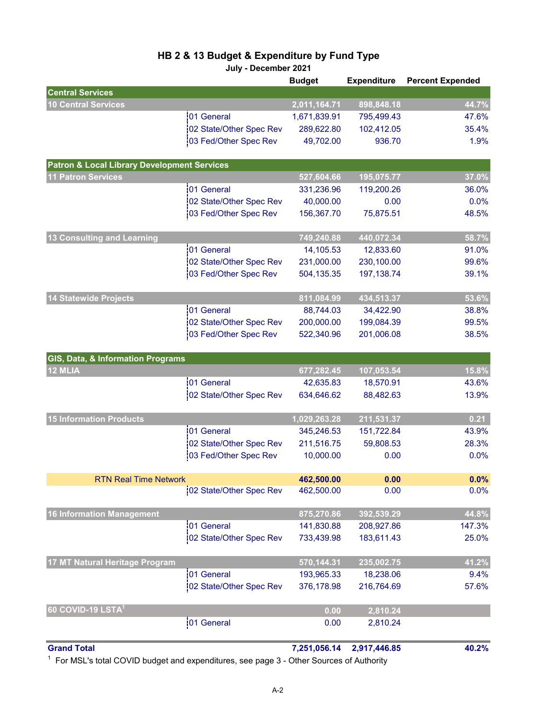# **HB 2 & 13 Budget & Expenditure by Fund Type**

**July - December 2021**

|                                                        |                         | <b>Budget</b> | <b>Expenditure</b> | <b>Percent Expended</b> |
|--------------------------------------------------------|-------------------------|---------------|--------------------|-------------------------|
| <b>Central Services</b>                                |                         |               |                    |                         |
| <b>10 Central Services</b>                             |                         | 2,011,164.71  | 898,848.18         | 44.7%                   |
|                                                        | 01 General              | 1,671,839.91  | 795,499.43         | 47.6%                   |
|                                                        | 02 State/Other Spec Rev | 289,622.80    | 102,412.05         | 35.4%                   |
|                                                        | 03 Fed/Other Spec Rev   | 49,702.00     | 936.70             | 1.9%                    |
| <b>Patron &amp; Local Library Development Services</b> |                         |               |                    |                         |
| <b>11 Patron Services</b>                              |                         | 527,604.66    | 195,075.77         | 37.0%                   |
|                                                        | 01 General              | 331,236.96    | 119,200.26         | 36.0%                   |
|                                                        | 02 State/Other Spec Rev | 40,000.00     | 0.00               | 0.0%                    |
|                                                        | 03 Fed/Other Spec Rev   | 156,367.70    | 75,875.51          | 48.5%                   |
| 13 Consulting and Learning                             |                         | 749,240.88    | 440,072.34         | 58.7%                   |
|                                                        | 01 General              | 14,105.53     | 12,833.60          | 91.0%                   |
|                                                        | 02 State/Other Spec Rev | 231,000.00    | 230,100.00         | 99.6%                   |
|                                                        | 03 Fed/Other Spec Rev   | 504,135.35    | 197,138.74         | 39.1%                   |
| <b>14 Statewide Projects</b>                           |                         | 811,084.99    | 434,513.37         | 53.6%                   |
|                                                        | 01 General              | 88,744.03     | 34,422.90          | 38.8%                   |
|                                                        | 02 State/Other Spec Rev | 200,000.00    | 199,084.39         | 99.5%                   |
|                                                        | 03 Fed/Other Spec Rev   | 522,340.96    | 201,006.08         | 38.5%                   |
| GIS, Data, & Information Programs                      |                         |               |                    |                         |
| 12 MLIA                                                |                         | 677,282.45    | 107,053.54         | 15.8%                   |
|                                                        | 01 General              | 42,635.83     | 18,570.91          | 43.6%                   |
|                                                        | 02 State/Other Spec Rev | 634,646.62    | 88,482.63          | 13.9%                   |
| <b>15 Information Products</b>                         |                         | 1,029,263.28  | 211,531.37         | 0.21                    |
|                                                        | 01 General              | 345,246.53    | 151,722.84         | 43.9%                   |
|                                                        | 02 State/Other Spec Rev | 211,516.75    | 59,808.53          | 28.3%                   |
|                                                        | 03 Fed/Other Spec Rev   | 10,000.00     | 0.00               | 0.0%                    |
| <b>RTN Real Time Network</b>                           |                         | 462,500.00    | 0.00               | 0.0%                    |
|                                                        | 02 State/Other Spec Rev | 462,500.00    | 0.00               | 0.0%                    |
| <b>16 Information Management</b>                       |                         | 875,270.86    | 392,539.29         | 44.8%                   |
|                                                        | 01 General              | 141,830.88    | 208,927.86         | 147.3%                  |
|                                                        | 02 State/Other Spec Rev | 733,439.98    | 183,611.43         | 25.0%                   |
|                                                        |                         |               |                    |                         |
| 17 MT Natural Heritage Program                         |                         | 570,144.31    | 235,002.75         | 41.2%                   |
|                                                        | 01 General              | 193,965.33    | 18,238.06          | 9.4%                    |
|                                                        | 02 State/Other Spec Rev | 376,178.98    | 216,764.69         | 57.6%                   |
| 60 COVID-19 LSTA <sup>1</sup>                          |                         | 0.00          | 2,810.24           |                         |
|                                                        | 01 General              | 0.00          | 2,810.24           |                         |
| <b>Grand Total</b>                                     |                         | 7,251,056.14  | 2,917,446.85       | 40.2%                   |

 $^\text{1}\,$  For MSL's total COVID budget and expenditures, see page 3 - Other Sources of Authority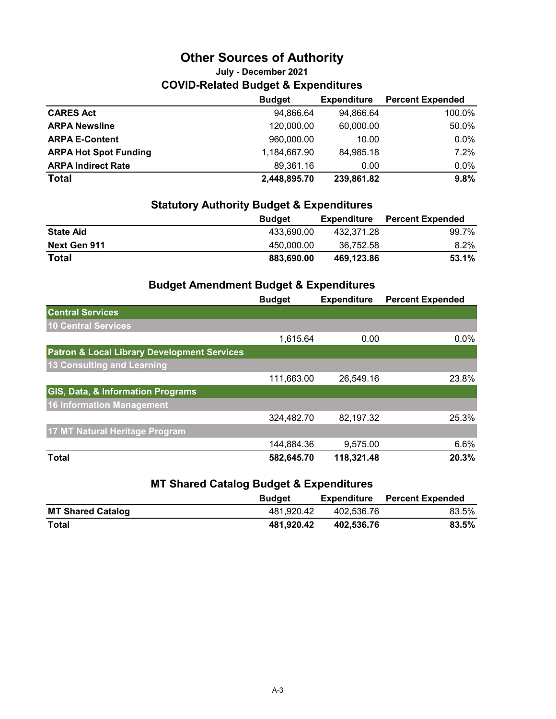# **Other Sources of Authority**

# **COVID-Related Budget & Expenditures July - December 2021**

|                              | <b>Budget</b> | <b>Expenditure</b> | <b>Percent Expended</b> |
|------------------------------|---------------|--------------------|-------------------------|
| <b>CARES Act</b>             | 94,866.64     | 94,866.64          | 100.0%                  |
| <b>ARPA Newsline</b>         | 120,000.00    | 60,000.00          | 50.0%                   |
| <b>ARPA E-Content</b>        | 960,000.00    | 10.00              | $0.0\%$                 |
| <b>ARPA Hot Spot Funding</b> | 1,184,667.90  | 84,985.18          | $7.2\%$                 |
| <b>ARPA Indirect Rate</b>    | 89.361.16     | 0.00               | $0.0\%$                 |
| <b>Total</b>                 | 2,448,895.70  | 239,861.82         | 9.8%                    |

### **Statutory Authority Budget & Expenditures**

|                  | <b>Budget</b> | <b>Expenditure</b> | <b>Percent Expended</b> |
|------------------|---------------|--------------------|-------------------------|
| <b>State Aid</b> | 433.690.00    | 432.371.28         | 99.7%                   |
| Next Gen 911     | 450.000.00    | 36.752.58          | $8.2\%$                 |
| <b>Total</b>     | 883.690.00    | 469.123.86         | 53.1%                   |

# **Budget Amendment Budget & Expenditures**

|                                                        | <b>Budget</b> | <b>Expenditure</b> | <b>Percent Expended</b> |
|--------------------------------------------------------|---------------|--------------------|-------------------------|
| <b>Central Services</b>                                |               |                    |                         |
| 10 Central Services                                    |               |                    |                         |
|                                                        | 1,615.64      | 0.00               | 0.0%                    |
| <b>Patron &amp; Local Library Development Services</b> |               |                    |                         |
| <b>13 Consulting and Learning</b>                      |               |                    |                         |
|                                                        | 111,663.00    | 26,549.16          | 23.8%                   |
| <b>GIS, Data, &amp; Information Programs</b>           |               |                    |                         |
| 16 Information Management                              |               |                    |                         |
|                                                        | 324,482.70    | 82,197.32          | 25.3%                   |
| 17 MT Natural Heritage Program                         |               |                    |                         |
|                                                        | 144,884.36    | 9,575.00           | 6.6%                    |
| <b>Total</b>                                           | 582,645.70    | 118,321.48         | 20.3%                   |

### **MT Shared Catalog Budget & Expenditures**

|                          | <b>Budget</b> | Expenditure | <b>Percent Expended</b> |
|--------------------------|---------------|-------------|-------------------------|
| <b>MT Shared Catalog</b> | 481.920.42    | 402.536.76  | 83.5%                   |
| Total                    | 481.920.42    | 402.536.76  | $83.5\%$                |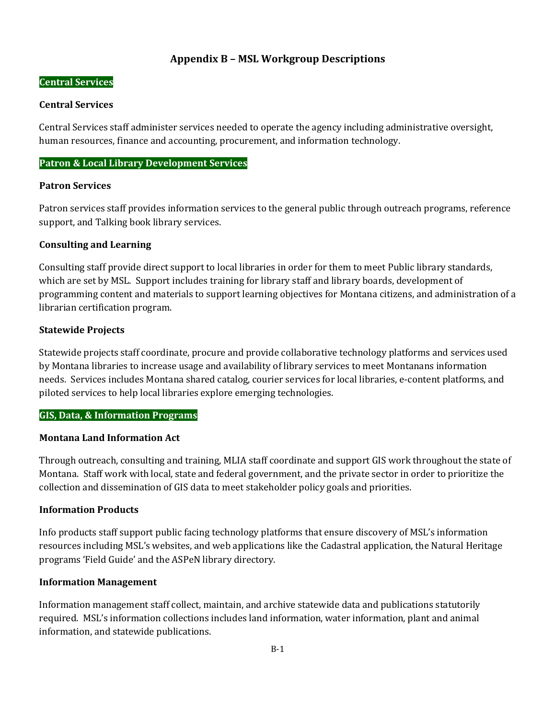### **Appendix B – MSL Workgroup Descriptions**

#### **Central Services**

#### **Central Services**

Central Services staff administer services needed to operate the agency including administrative oversight, human resources, finance and accounting, procurement, and information technology.

#### **Patron & Local Library Development Services**

#### **Patron Services**

Patron services staff provides information services to the general public through outreach programs, reference support, and Talking book library services.

### **Consulting and Learning**

Consulting staff provide direct support to local libraries in order for them to meet Public library standards, which are set by MSL. Support includes training for library staff and library boards, development of programming content and materials to support learning objectives for Montana citizens, and administration of a librarian certification program.

### **Statewide Projects**

Statewide projects staff coordinate, procure and provide collaborative technology platforms and services used by Montana libraries to increase usage and availability of library services to meet Montanans information needs. Services includes Montana shared catalog, courier services for local libraries, e-content platforms, and piloted services to help local libraries explore emerging technologies.

### **GIS, Data, & Information Programs**

### **Montana Land Information Act**

Through outreach, consulting and training, MLIA staff coordinate and support GIS work throughout the state of Montana. Staff work with local, state and federal government, and the private sector in order to prioritize the collection and dissemination of GIS data to meet stakeholder policy goals and priorities.

### **Information Products**

Info products staff support public facing technology platforms that ensure discovery of MSL's information resources including MSL's websites, and web applications like the Cadastral application, the Natural Heritage programs 'Field Guide' and the ASPeN library directory.

### **Information Management**

Information management staff collect, maintain, and archive statewide data and publications statutorily required. MSL's information collections includes land information, water information, plant and animal information, and statewide publications.